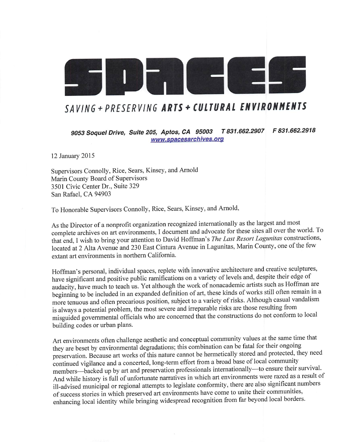## SAVING + PRESERVING ARTS + CULTURAL ENVIRONMENTS

9053 Soquel Drive, Suite 205, Aptos, CA 95003 T 831.662.2907 F 831.662.2918 www, spacesarchives. org

12 January 2015

Supervisors Connolly, Rice, Sears, Kinsey, and Arnold Marin County Board of Supervisors 3501 Civic Center Dr., Suite 329 San Rafael, CA 94903

To Honorable Supervisors Connolly, Rice, Sears, Kinsey, and Arnold,

As the Director of a nonprofit organization recognized internationally as the largest and most complete archives on art environments, I document and advocate for these sites all over the world. To that end, I wish to bring your attention to David Hoffman's The Last Resort Lagunitas constructions, located at 2 Alta Avenue and 230 East Cintura Avenue in Lagunitas, Marin County, one of the few extant art environments in northern California.

Hoffman's personal, individual spaces, replete with innovative architecture and creative sculptures, have significant and positive public ramifications on a variety of levels and, despite their edge of audacity, have much to teach us. Yet although the work of nonacademic artists such as Hoffman are beginning to be included in an expanded definition of art, these kinds of works still often remain in a more tenuous and often precarious position, subject to a variety of risks. Although casual vandalism is always a potential problem, the most severe and irreparable risks are those resulting from misguided governmental officials who are concerned that the constructions do not conform to local building codes or urban plans.

Art environments often challenge aesthetic and conceptual community values at the same time that they are beset by environmental degradations; this combination can be fatal for their ongoing preservation. Because art works of this nature cannot be hermeticaly stored and protected, they need continued vigilance and a concerted, long-term effort from a broad base of local community members—backed up by art and preservation professionals internationaly—to ensure their survival. And while history is ful of unfortunate narratives in which art environments were razed as a result of il-advised municipal or regional attempts to legislate conformity, there are also significant numbers of success stories in which preserved art environments have come to unite their communities, enhancing local identity while bringing widespread recognition from far beyond local borders.